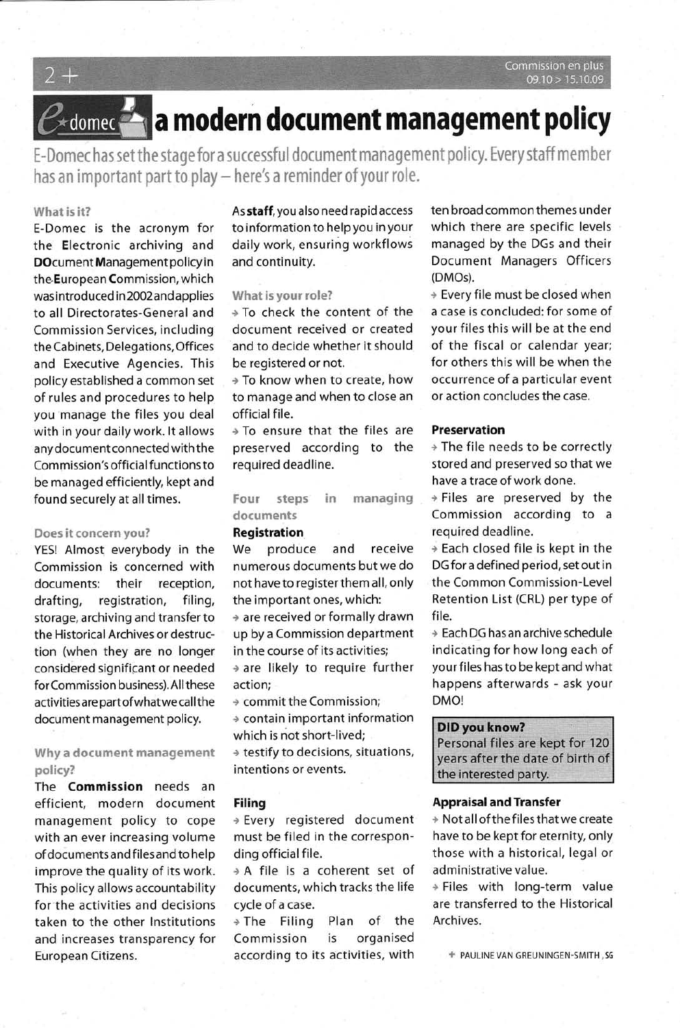**B**edomected a modern document management policy

E-Domec has set the stage for a successful document management policy. Every staff member has an important part to play - here's a reminder of your role.

#### What is it?

E-Domec is the acronym for the Electronic archiving and DOcument Management policy in the European Commission, which was introduced in 2002 and applies to all Directorates-General and Commission Services, including the Cabinets, Delegations, Offices and Executive Agencies. This policy established a common set of rules and procedures to help you manage the files you deal with in your daily work. It allows any document connected with the Commission's official functions to be managed efficiently, kept and found securely at all times.

#### Does it concern you?

YES! Almost everybody in the Commission is concerned with documents: their reception, drafting, registration, filing. storage, archiving and transfer to the Historical Archives or destruction (when they are no longer considered significant or needed for Commission business). All these activities are part of what we call the document management policy.

# Why a document management policy?

The **Commission** needs an efficient, modern document management policy to cope with an ever increasing volume of documents and files and to help improve the quality of its work. This policy allows accountability for the activities and decisions taken to the other Institutions and increases transparency for European Citizens.

As staff, you also need rapid access to information to help you in your daily work, ensuring workflows and continuity.

#### What is your role?

+ To check the content of the document received or created and to decide whether it should be registered or not.

→ To know when to create, how to manage and when to close an official file.

 $\rightarrow$  To ensure that the files are preserved according to the required deadline.

Four steps in managing documents

### **Registration**

We produce and receive numerous documents but we do not have to register them all, only the important ones, which:

+ are received or formally drawn up by a Commission department in the course of its activities;

\* are likely to require further action;

+ commit the Commission;

\* contain important information which is not short-lived;

\* testify to decisions, situations, intentions or events.

#### **Filing**

→ Every registered document must be filed in the corresponding official file.

\* A file is a coherent set of documents, which tracks the life cycle of a case.

> The Filing Plan of the Commission is organised according to its activities, with

ten broad common themes under which there are specific levels managed by the DGs and their Document Managers Officers (DMOs).

+ Every file must be closed when a case is concluded: for some of your files this will be at the end of the fiscal or calendar year; for others this will be when the occurrence of a particular event or action concludes the case.

#### **Preservation**

\* The file needs to be correctly stored and preserved so that we have a trace of work done.

\* Files are preserved by the Commission according to a required deadline.

→ Each closed file is kept in the DG for a defined period, set out in the Common Commission-Level Retention List (CRL) per type of file.

+ Each DG has an archive schedule indicating for how long each of your files has to be kept and what happens afterwards - ask your DMO!

#### **DID you know?**

Personal files are kept for 120 years after the date of birth of the interested party.

#### **Appraisal and Transfer**

\* Not all of the files that we create have to be kept for eternity, only those with a historical, legal or administrative value.

> Files with long-term value are transferred to the Historical Archives.

+ PAULINE VAN GREUNINGEN-SMITH, SG